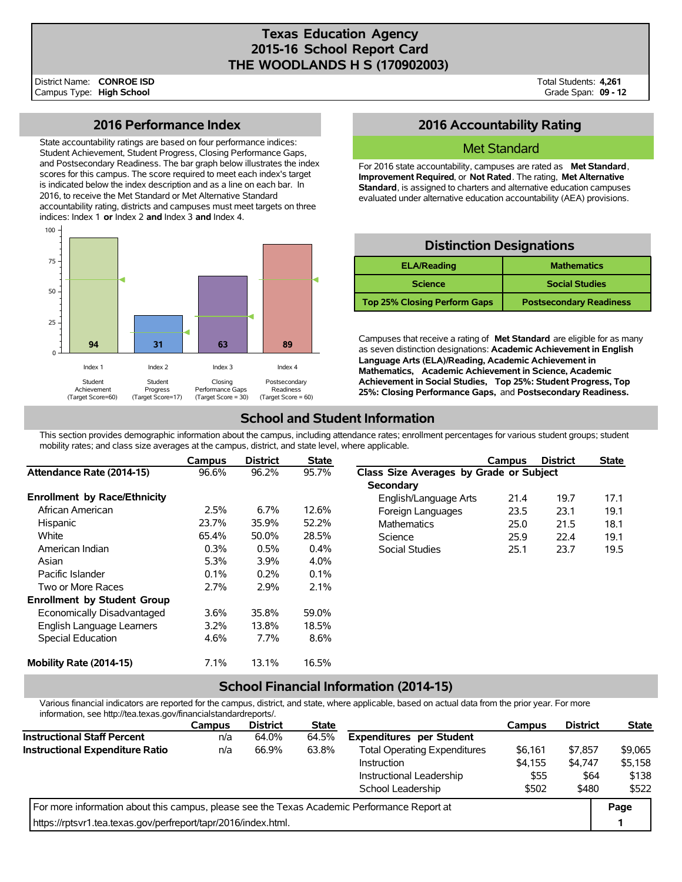## **Texas Education Agency 2015-16 School Report Card THE WOODLANDS H S (170902003)**

Total Students: **4,261** Grade Span: **09 - 12**

## **2016 Performance Index**

State accountability ratings are based on four performance indices: Student Achievement, Student Progress, Closing Performance Gaps, and Postsecondary Readiness. The bar graph below illustrates the index scores for this campus. The score required to meet each index's target is indicated below the index description and as a line on each bar. In 2016, to receive the Met Standard or Met Alternative Standard accountability rating, districts and campuses must meet targets on three indices: Index 1 **or** Index 2 **and** Index 3 **and** Index 4.



## **2016 Accountability Rating**

### Met Standard

For 2016 state accountability, campuses are rated as **Met Standard**, **Improvement Required**, or **Not Rated**. The rating, **Met Alternative Standard**, is assigned to charters and alternative education campuses evaluated under alternative education accountability (AEA) provisions.

| <b>Distinction Designations</b>          |                                |  |  |  |  |  |  |
|------------------------------------------|--------------------------------|--|--|--|--|--|--|
| <b>ELA/Reading</b><br><b>Mathematics</b> |                                |  |  |  |  |  |  |
| <b>Science</b>                           | <b>Social Studies</b>          |  |  |  |  |  |  |
| <b>Top 25% Closing Perform Gaps</b>      | <b>Postsecondary Readiness</b> |  |  |  |  |  |  |

Campuses that receive a rating of **Met Standard** are eligible for as many as seven distinction designations: **Academic Achievement in English Language Arts (ELA)/Reading, Academic Achievement in Mathematics, Academic Achievement in Science, Academic Achievement in Social Studies, Top 25%: Student Progress, Top 25%: Closing Performance Gaps,** and **Postsecondary Readiness.**

# **School and Student Information**

This section provides demographic information about the campus, including attendance rates; enrollment percentages for various student groups; student mobility rates; and class size averages at the campus, district, and state level, where applicable.

|                                     | Campus  | <b>District</b> | <b>State</b> |                                         | Campus | <b>District</b> | <b>State</b> |  |
|-------------------------------------|---------|-----------------|--------------|-----------------------------------------|--------|-----------------|--------------|--|
| Attendance Rate (2014-15)           | 96.6%   | 96.2%           | 95.7%        | Class Size Averages by Grade or Subject |        |                 |              |  |
|                                     |         |                 |              | Secondary                               |        |                 |              |  |
| <b>Enrollment by Race/Ethnicity</b> |         |                 |              | English/Language Arts                   | 21.4   | 19.7            | 17.1         |  |
| African American                    | $2.5\%$ | 6.7%            | 12.6%        | Foreign Languages                       | 23.5   | 23.1            | 19.1         |  |
| Hispanic                            | 23.7%   | 35.9%           | 52.2%        | <b>Mathematics</b>                      | 25.0   | 21.5            | 18.1         |  |
| White                               | 65.4%   | 50.0%           | 28.5%        | Science                                 | 25.9   | 22.4            | 19.1         |  |
| American Indian                     | 0.3%    | 0.5%            | 0.4%         | Social Studies                          | 25.1   | 23.7            | 19.5         |  |
| Asian                               | 5.3%    | 3.9%            | 4.0%         |                                         |        |                 |              |  |
| Pacific Islander                    | 0.1%    | 0.2%            | 0.1%         |                                         |        |                 |              |  |
| Two or More Races                   | 2.7%    | 2.9%            | 2.1%         |                                         |        |                 |              |  |
| <b>Enrollment by Student Group</b>  |         |                 |              |                                         |        |                 |              |  |
| Economically Disadvantaged          | 3.6%    | 35.8%           | 59.0%        |                                         |        |                 |              |  |
| English Language Learners           | $3.2\%$ | 13.8%           | 18.5%        |                                         |        |                 |              |  |
| Special Education                   | 4.6%    | $7.7\%$         | 8.6%         |                                         |        |                 |              |  |
| Mobility Rate (2014-15)             | 7.1%    | 13.1%           | 16.5%        |                                         |        |                 |              |  |

## **School Financial Information (2014-15)**

Various financial indicators are reported for the campus, district, and state, where applicable, based on actual data from the prior year. For more information, see http://tea.texas.gov/financialstandardreports/.

|                                                                                             | <b>Campus</b> | <b>District</b> | <b>State</b> |                                     | Campus  | <b>District</b> | <b>State</b> |
|---------------------------------------------------------------------------------------------|---------------|-----------------|--------------|-------------------------------------|---------|-----------------|--------------|
| <b>Instructional Staff Percent</b>                                                          | n/a           | 64.0%           | 64.5%        | <b>Expenditures per Student</b>     |         |                 |              |
| Instructional Expenditure Ratio                                                             | n/a           | 66.9%           | 63.8%        | <b>Total Operating Expenditures</b> | \$6,161 | \$7.857         | \$9,065      |
|                                                                                             |               |                 |              | Instruction                         | \$4.155 | \$4.747         | \$5.158      |
|                                                                                             |               |                 |              | Instructional Leadership            | \$55    | \$64            | \$138        |
|                                                                                             |               |                 |              | School Leadership                   | \$502   | \$480           | \$522        |
| For more information about this campus, please see the Texas Academic Performance Report at |               |                 |              |                                     |         |                 | Page         |
| https://rptsvr1.tea.texas.gov/perfreport/tapr/2016/index.html.                              |               |                 |              |                                     |         |                 |              |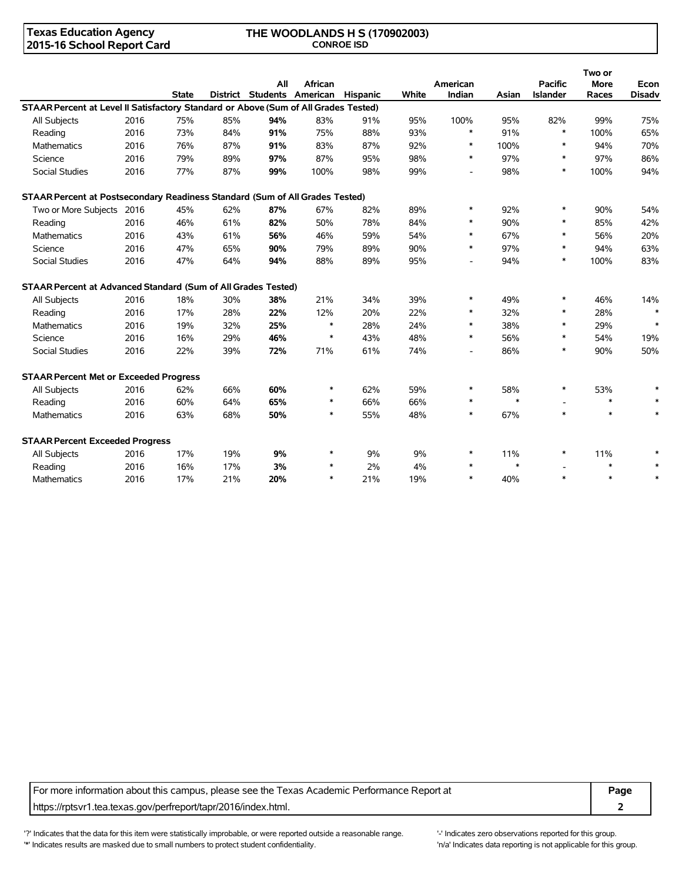### **Texas Education Agency 2015-16 School Report Card**

#### **THE WOODLANDS H S (170902003) CONROE ISD**

|                                                                                     |      |              |     |     |                                                |     |       |                          |        |                                   | Two or               |                       |
|-------------------------------------------------------------------------------------|------|--------------|-----|-----|------------------------------------------------|-----|-------|--------------------------|--------|-----------------------------------|----------------------|-----------------------|
|                                                                                     |      | <b>State</b> |     | All | African<br>District Students American Hispanic |     | White | American<br>Indian       | Asian  | <b>Pacific</b><br><b>Islander</b> | <b>More</b><br>Races | Econ<br><b>Disadv</b> |
| STAAR Percent at Level II Satisfactory Standard or Above (Sum of All Grades Tested) |      |              |     |     |                                                |     |       |                          |        |                                   |                      |                       |
| All Subjects                                                                        | 2016 | 75%          | 85% | 94% | 83%                                            | 91% | 95%   | 100%                     | 95%    | 82%                               | 99%                  | 75%                   |
| Reading                                                                             | 2016 | 73%          | 84% | 91% | 75%                                            | 88% | 93%   | $\ast$                   | 91%    | $\ast$                            | 100%                 | 65%                   |
| Mathematics                                                                         | 2016 | 76%          | 87% | 91% | 83%                                            | 87% | 92%   | $\ast$                   | 100%   | $\ast$                            | 94%                  | 70%                   |
| Science                                                                             | 2016 | 79%          | 89% | 97% | 87%                                            | 95% | 98%   | $\ast$                   | 97%    | $\ast$                            | 97%                  | 86%                   |
| <b>Social Studies</b>                                                               | 2016 | 77%          | 87% | 99% | 100%                                           | 98% | 99%   | $\overline{\phantom{a}}$ | 98%    | $\ast$                            | 100%                 | 94%                   |
| STAAR Percent at Postsecondary Readiness Standard (Sum of All Grades Tested)        |      |              |     |     |                                                |     |       |                          |        |                                   |                      |                       |
| Two or More Subjects 2016                                                           |      | 45%          | 62% | 87% | 67%                                            | 82% | 89%   | $\ast$                   | 92%    | $\ast$                            | 90%                  | 54%                   |
| Reading                                                                             | 2016 | 46%          | 61% | 82% | 50%                                            | 78% | 84%   | $\ast$                   | 90%    | $\ast$                            | 85%                  | 42%                   |
| Mathematics                                                                         | 2016 | 43%          | 61% | 56% | 46%                                            | 59% | 54%   | $\ast$                   | 67%    | $\ast$                            | 56%                  | 20%                   |
| Science                                                                             | 2016 | 47%          | 65% | 90% | 79%                                            | 89% | 90%   | $\ast$                   | 97%    | $\ast$                            | 94%                  | 63%                   |
| <b>Social Studies</b>                                                               | 2016 | 47%          | 64% | 94% | 88%                                            | 89% | 95%   | $\overline{\phantom{a}}$ | 94%    | $\ast$                            | 100%                 | 83%                   |
| <b>STAAR Percent at Advanced Standard (Sum of All Grades Tested)</b>                |      |              |     |     |                                                |     |       |                          |        |                                   |                      |                       |
| All Subjects                                                                        | 2016 | 18%          | 30% | 38% | 21%                                            | 34% | 39%   | $\ast$                   | 49%    | $\ast$                            | 46%                  | 14%                   |
| Reading                                                                             | 2016 | 17%          | 28% | 22% | 12%                                            | 20% | 22%   | $\ast$                   | 32%    | $\ast$                            | 28%                  | $\ast$                |
| <b>Mathematics</b>                                                                  | 2016 | 19%          | 32% | 25% | $\ast$                                         | 28% | 24%   | $\ast$                   | 38%    | $\ast$                            | 29%                  | $\ast$                |
| Science                                                                             | 2016 | 16%          | 29% | 46% | $\ast$                                         | 43% | 48%   | $\ast$                   | 56%    | $\ast$                            | 54%                  | 19%                   |
| <b>Social Studies</b>                                                               | 2016 | 22%          | 39% | 72% | 71%                                            | 61% | 74%   | $\overline{\phantom{a}}$ | 86%    | $\ast$                            | 90%                  | 50%                   |
| <b>STAAR Percent Met or Exceeded Progress</b>                                       |      |              |     |     |                                                |     |       |                          |        |                                   |                      |                       |
| All Subjects                                                                        | 2016 | 62%          | 66% | 60% | $\ast$                                         | 62% | 59%   | $\ast$                   | 58%    | $\ast$                            | 53%                  |                       |
| Reading                                                                             | 2016 | 60%          | 64% | 65% | $\ast$                                         | 66% | 66%   | $\ast$                   | $\ast$ |                                   | $\ast$               | $\ast$                |
| <b>Mathematics</b>                                                                  | 2016 | 63%          | 68% | 50% | $\ast$                                         | 55% | 48%   | $\ast$                   | 67%    | $\ast$                            | $\ast$               | $\ast$                |
| <b>STAAR Percent Exceeded Progress</b>                                              |      |              |     |     |                                                |     |       |                          |        |                                   |                      |                       |
| All Subjects                                                                        | 2016 | 17%          | 19% | 9%  | $\ast$                                         | 9%  | 9%    | $\ast$                   | 11%    | $\ast$                            | 11%                  |                       |
| Reading                                                                             | 2016 | 16%          | 17% | 3%  | $\ast$                                         | 2%  | 4%    | $\ast$                   | $\ast$ |                                   | $\ast$               |                       |
| <b>Mathematics</b>                                                                  | 2016 | 17%          | 21% | 20% | $\ast$                                         | 21% | 19%   | $\ast$                   | 40%    | $\ast$                            | $\ast$               | $\ast$                |

For more information about this campus, please see the Texas Academic Performance Report at **Page** https://rptsvr1.tea.texas.gov/perfreport/tapr/2016/index.html. **2**

'?' Indicates that the data for this item were statistically improbable, or were reported outside a reasonable range. '-' Indicates zero observations reported for this group. '\*' Indicates results are masked due to small numbers to protect student confidentiality. Moreover the student confidentiality is not applicable for this group.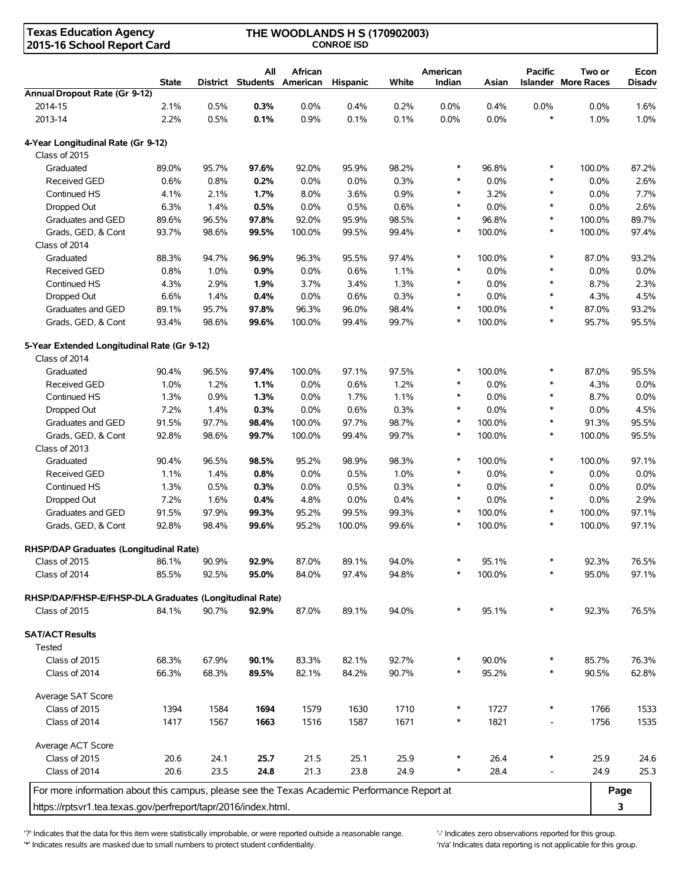| <b>Texas Education Agency</b><br>2015-16 School Report Card                                 | THE WOODLANDS H S (170902003)<br><b>CONROE ISD</b> |          |       |                                     |          |       |                    |        |                          |                                      |                       |
|---------------------------------------------------------------------------------------------|----------------------------------------------------|----------|-------|-------------------------------------|----------|-------|--------------------|--------|--------------------------|--------------------------------------|-----------------------|
|                                                                                             | <b>State</b>                                       | District | All   | African<br><b>Students American</b> | Hispanic | White | American<br>Indian | Asian  | <b>Pacific</b>           | Two or<br><b>Islander More Races</b> | Econ<br><b>Disadv</b> |
| Annual Dropout Rate (Gr 9-12)                                                               |                                                    |          |       |                                     |          |       |                    |        |                          |                                      |                       |
| 2014-15                                                                                     | 2.1%                                               | 0.5%     | 0.3%  | 0.0%                                | 0.4%     | 0.2%  | 0.0%               | 0.4%   | 0.0%                     | 0.0%                                 | 1.6%                  |
| 2013-14                                                                                     | 2.2%                                               | 0.5%     | 0.1%  | 0.9%                                | 0.1%     | 0.1%  | 0.0%               | 0.0%   | $\ast$                   | 1.0%                                 | 1.0%                  |
| 4-Year Longitudinal Rate (Gr 9-12)<br>Class of 2015                                         |                                                    |          |       |                                     |          |       |                    |        |                          |                                      |                       |
| Graduated                                                                                   | 89.0%                                              | 95.7%    | 97.6% | 92.0%                               | 95.9%    | 98.2% | $\ast$             | 96.8%  | $\ast$                   | 100.0%                               | 87.2%                 |
| <b>Received GED</b>                                                                         | 0.6%                                               | 0.8%     | 0.2%  | 0.0%                                | 0.0%     | 0.3%  | $\ast$             | 0.0%   | $\ast$                   | 0.0%                                 | 2.6%                  |
| Continued HS                                                                                | 4.1%                                               | 2.1%     | 1.7%  | 8.0%                                | 3.6%     | 0.9%  | $\ast$             | 3.2%   | $\ast$                   | 0.0%                                 | 7.7%                  |
| Dropped Out                                                                                 | 6.3%                                               | 1.4%     | 0.5%  | $0.0\%$                             | 0.5%     | 0.6%  | $\ast$             | 0.0%   | $\ast$                   | 0.0%                                 | 2.6%                  |
| Graduates and GED                                                                           | 89.6%                                              | 96.5%    | 97.8% | 92.0%                               | 95.9%    | 98.5% | $\ast$             | 96.8%  | $\ast$                   | 100.0%                               | 89.7%                 |
| Grads, GED, & Cont                                                                          | 93.7%                                              | 98.6%    | 99.5% | 100.0%                              | 99.5%    | 99.4% | $\ast$             | 100.0% | $\ast$                   | 100.0%                               | 97.4%                 |
| Class of 2014                                                                               |                                                    |          |       |                                     |          |       |                    |        |                          |                                      |                       |
| Graduated                                                                                   | 88.3%                                              | 94.7%    | 96.9% | 96.3%                               | 95.5%    | 97.4% | $\ast$             | 100.0% | $\ast$                   | 87.0%                                | 93.2%                 |
| Received GED                                                                                | 0.8%                                               | 1.0%     | 0.9%  | 0.0%                                | 0.6%     | 1.1%  | $\ast$             | 0.0%   | $\ast$                   | 0.0%                                 | 0.0%                  |
| Continued HS                                                                                | 4.3%                                               | 2.9%     | 1.9%  | 3.7%                                | 3.4%     | 1.3%  | $\ast$             | 0.0%   | $\ast$                   | 8.7%                                 | 2.3%                  |
| Dropped Out                                                                                 | 6.6%                                               | 1.4%     | 0.4%  | 0.0%                                | 0.6%     | 0.3%  | $\ast$             | 0.0%   | $\ast$                   | 4.3%                                 | 4.5%                  |
| Graduates and GED                                                                           | 89.1%                                              | 95.7%    | 97.8% | 96.3%                               | 96.0%    | 98.4% | $\ast$             | 100.0% | $\ast$                   | 87.0%                                | 93.2%                 |
| Grads, GED, & Cont                                                                          | 93.4%                                              | 98.6%    | 99.6% | 100.0%                              | 99.4%    | 99.7% | $\ast$             | 100.0% | $\ast$                   | 95.7%                                | 95.5%                 |
| 5-Year Extended Longitudinal Rate (Gr 9-12)                                                 |                                                    |          |       |                                     |          |       |                    |        |                          |                                      |                       |
| Class of 2014                                                                               |                                                    |          |       |                                     |          |       |                    |        |                          |                                      |                       |
| Graduated                                                                                   | 90.4%                                              | 96.5%    | 97.4% | 100.0%                              | 97.1%    | 97.5% | $\ast$             | 100.0% | $\ast$                   | 87.0%                                | 95.5%                 |
| <b>Received GED</b>                                                                         | 1.0%                                               | 1.2%     | 1.1%  | 0.0%                                | 0.6%     | 1.2%  | $\ast$             | 0.0%   | $\ast$                   | 4.3%                                 | 0.0%                  |
| Continued HS                                                                                | 1.3%                                               | 0.9%     | 1.3%  | $0.0\%$                             | 1.7%     | 1.1%  | $\ast$             | 0.0%   | $\ast$                   | 8.7%                                 | 0.0%                  |
| Dropped Out                                                                                 | 7.2%                                               | 1.4%     | 0.3%  | 0.0%                                | 0.6%     | 0.3%  | $\ast$             | 0.0%   | $\ast$                   | 0.0%                                 | 4.5%                  |
| Graduates and GED                                                                           | 91.5%                                              | 97.7%    | 98.4% | 100.0%                              | 97.7%    | 98.7% | $\ast$             | 100.0% | $\ast$                   | 91.3%                                | 95.5%                 |
| Grads, GED, & Cont                                                                          | 92.8%                                              | 98.6%    | 99.7% | 100.0%                              | 99.4%    | 99.7% | $\ast$             | 100.0% | $\ast$                   | 100.0%                               | 95.5%                 |
| Class of 2013                                                                               |                                                    |          |       |                                     |          |       |                    |        |                          |                                      |                       |
| Graduated                                                                                   | 90.4%                                              | 96.5%    | 98.5% | 95.2%                               | 98.9%    | 98.3% | $\ast$             | 100.0% | $\ast$                   | 100.0%                               | 97.1%                 |
| <b>Received GED</b>                                                                         | 1.1%                                               | 1.4%     | 0.8%  | $0.0\%$                             | 0.5%     | 1.0%  | $\ast$             | 0.0%   | $\ast$                   | 0.0%                                 | 0.0%                  |
| Continued HS                                                                                | 1.3%                                               | 0.5%     | 0.3%  | 0.0%                                | 0.5%     | 0.3%  | $\ast$             | 0.0%   | $\ast$                   | 0.0%                                 | 0.0%                  |
| Dropped Out                                                                                 | 7.2%                                               | 1.6%     | 0.4%  | 4.8%                                | 0.0%     | 0.4%  | $\ast$             | 0.0%   | $\ast$                   | 0.0%                                 | 2.9%                  |
| Graduates and GED                                                                           | 91.5%                                              | 97.9%    | 99.3% | 95.2%                               | 99.5%    | 99.3% | $\ast$             | 100.0% | $\ast$                   | 100.0%                               | 97.1%                 |
| Grads, GED, & Cont                                                                          | 92.8%                                              | 98.4%    | 99.6% | 95.2%                               | 100.0%   | 99.6% |                    | 100.0% |                          | 100.0%                               | 97.1%                 |
| RHSP/DAP Graduates (Longitudinal Rate)                                                      |                                                    |          |       |                                     |          |       |                    |        |                          |                                      |                       |
| Class of 2015                                                                               | 86.1%                                              | 90.9%    | 92.9% | 87.0%                               | 89.1%    | 94.0% |                    | 95.1%  | $\ast$                   | 92.3%                                | 76.5%                 |
| Class of 2014                                                                               | 85.5%                                              | 92.5%    | 95.0% | 84.0%                               | 97.4%    | 94.8% |                    | 100.0% | ∗                        | 95.0%                                | 97.1%                 |
| RHSP/DAP/FHSP-E/FHSP-DLA Graduates (Longitudinal Rate)                                      |                                                    |          |       |                                     |          |       |                    |        |                          |                                      |                       |
| Class of 2015                                                                               | 84.1%                                              | 90.7%    | 92.9% | 87.0%                               | 89.1%    | 94.0% | $\ast$             | 95.1%  | $\ast$                   | 92.3%                                | 76.5%                 |
| <b>SAT/ACT Results</b>                                                                      |                                                    |          |       |                                     |          |       |                    |        |                          |                                      |                       |
| Tested                                                                                      |                                                    |          |       |                                     |          |       |                    |        |                          |                                      |                       |
| Class of 2015                                                                               | 68.3%                                              | 67.9%    | 90.1% | 83.3%                               | 82.1%    | 92.7% |                    | 90.0%  | $\ast$                   | 85.7%                                | 76.3%                 |
| Class of 2014                                                                               | 66.3%                                              | 68.3%    | 89.5% | 82.1%                               | 84.2%    | 90.7% |                    | 95.2%  | $\ast$                   | 90.5%                                | 62.8%                 |
| Average SAT Score                                                                           |                                                    |          |       |                                     |          |       |                    |        |                          |                                      |                       |
| Class of 2015                                                                               | 1394                                               | 1584     | 1694  | 1579                                | 1630     | 1710  | $\ast$             | 1727   | $\ast$                   | 1766                                 | 1533                  |
| Class of 2014                                                                               | 1417                                               | 1567     | 1663  | 1516                                | 1587     | 1671  | $\ast$             | 1821   |                          | 1756                                 | 1535                  |
| Average ACT Score                                                                           |                                                    |          |       |                                     |          |       |                    |        |                          |                                      |                       |
| Class of 2015                                                                               | 20.6                                               | 24.1     | 25.7  | 21.5                                | 25.1     | 25.9  | $\ast$             | 26.4   | $\ast$                   | 25.9                                 | 24.6                  |
| Class of 2014                                                                               | 20.6                                               | 23.5     | 24.8  | 21.3                                | 23.8     | 24.9  | $\ast$             | 28.4   | $\overline{\phantom{a}}$ | 24.9                                 | 25.3                  |
| For more information about this campus, please see the Texas Academic Performance Report at |                                                    |          |       |                                     |          |       |                    |        |                          |                                      |                       |
| https://rptsvr1.tea.texas.gov/perfreport/tapr/2016/index.html.                              |                                                    |          |       |                                     |          |       |                    |        |                          |                                      | Page<br>3             |
|                                                                                             |                                                    |          |       |                                     |          |       |                    |        |                          |                                      |                       |

'?' Indicates that the data for this item were statistically improbable, or were reported outside a reasonable range. <br>'\*' Indicates results are masked due to small numbers to protect student confidentiality. (inter any in '\*' Indicates results are masked due to small numbers to protect student confidentiality.